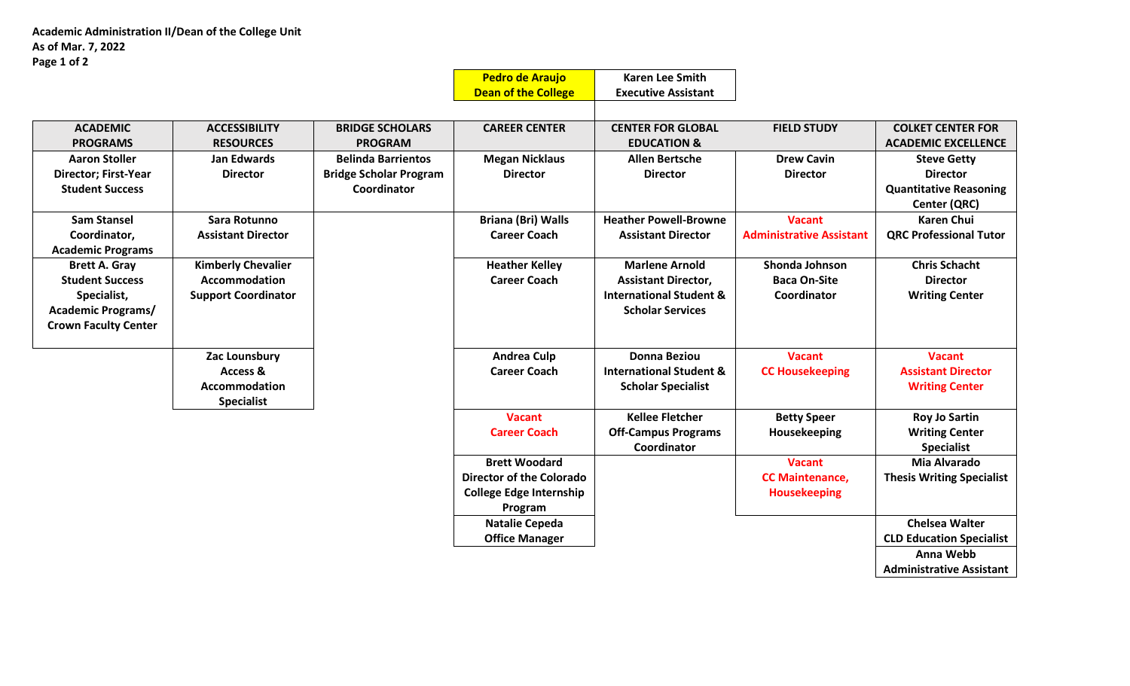|                             |                            |                               | <b>Pedro de Araujo</b>     | <b>Karen Lee Smith</b>             |                                 |                               |
|-----------------------------|----------------------------|-------------------------------|----------------------------|------------------------------------|---------------------------------|-------------------------------|
|                             |                            |                               | <b>Dean of the College</b> | <b>Executive Assistant</b>         |                                 |                               |
|                             |                            |                               |                            |                                    |                                 |                               |
| <b>ACADEMIC</b>             | <b>ACCESSIBILITY</b>       | <b>BRIDGE SCHOLARS</b>        | <b>CAREER CENTER</b>       | <b>CENTER FOR GLOBAL</b>           | <b>FIELD STUDY</b>              | <b>COLKET CENTER FOR</b>      |
| <b>PROGRAMS</b>             | <b>RESOURCES</b>           | <b>PROGRAM</b>                |                            | <b>EDUCATION &amp;</b>             |                                 | <b>ACADEMIC EXCELLENCE</b>    |
| <b>Aaron Stoller</b>        | Jan Edwards                | <b>Belinda Barrientos</b>     | <b>Megan Nicklaus</b>      | <b>Allen Bertsche</b>              | <b>Drew Cavin</b>               | <b>Steve Getty</b>            |
| <b>Director; First-Year</b> | <b>Director</b>            | <b>Bridge Scholar Program</b> | <b>Director</b>            | <b>Director</b>                    | <b>Director</b>                 | <b>Director</b>               |
| <b>Student Success</b>      |                            | Coordinator                   |                            |                                    |                                 | <b>Quantitative Reasoning</b> |
|                             |                            |                               |                            |                                    |                                 | Center (QRC)                  |
| <b>Sam Stansel</b>          | Sara Rotunno               |                               | <b>Briana (Bri) Walls</b>  | <b>Heather Powell-Browne</b>       | <b>Vacant</b>                   | <b>Karen Chui</b>             |
| Coordinator,                | <b>Assistant Director</b>  |                               | <b>Career Coach</b>        | <b>Assistant Director</b>          | <b>Administrative Assistant</b> | <b>QRC Professional Tutor</b> |
| <b>Academic Programs</b>    |                            |                               |                            |                                    |                                 |                               |
| <b>Brett A. Gray</b>        | <b>Kimberly Chevalier</b>  |                               | <b>Heather Kelley</b>      | <b>Marlene Arnold</b>              | Shonda Johnson                  | <b>Chris Schacht</b>          |
| <b>Student Success</b>      | <b>Accommodation</b>       |                               | <b>Career Coach</b>        | <b>Assistant Director,</b>         | <b>Baca On-Site</b>             | <b>Director</b>               |
| Specialist,                 | <b>Support Coordinator</b> |                               |                            | <b>International Student &amp;</b> | Coordinator                     | <b>Writing Center</b>         |
| <b>Academic Programs/</b>   |                            |                               |                            | <b>Scholar Services</b>            |                                 |                               |
| <b>Crown Faculty Center</b> |                            |                               |                            |                                    |                                 |                               |
|                             |                            |                               |                            |                                    |                                 |                               |
|                             | Zac Lounsbury              |                               | <b>Andrea Culp</b>         | <b>Donna Beziou</b>                | <b>Vacant</b>                   | <b>Vacant</b>                 |
|                             | Access &                   |                               | <b>Career Coach</b>        | <b>International Student &amp;</b> | <b>CC Housekeeping</b>          | <b>Assistant Director</b>     |
|                             | Accommodation              |                               |                            | <b>Scholar Specialist</b>          |                                 | <b>Writing Center</b>         |
|                             | <b>Specialist</b>          |                               |                            |                                    |                                 |                               |
|                             |                            |                               | <b>Vacant</b>              | <b>Kellee Fletcher</b>             | <b>Betty Speer</b>              | <b>Roy Jo Sartin</b>          |
|                             |                            |                               | <b>Career Coach</b>        | <b>Off-Campus Programs</b>         | Housekeeping                    | <b>Writing Center</b>         |
|                             |                            |                               |                            | Coordinator                        |                                 | <b>Specialist</b>             |
|                             |                            |                               | <b>Brett Woodard</b>       |                                    | <b>Vacant</b>                   | Mia Alvarado                  |

**Director of the Colorado College Edge Internship Program**

> **Natalie Cepeda Office Manager**

**CC Maintenance, Housekeeping**

**Thesis Writing Specialist**

**Chelsea Walter CLD Education Specialist Anna Webb Administrative Assistant**